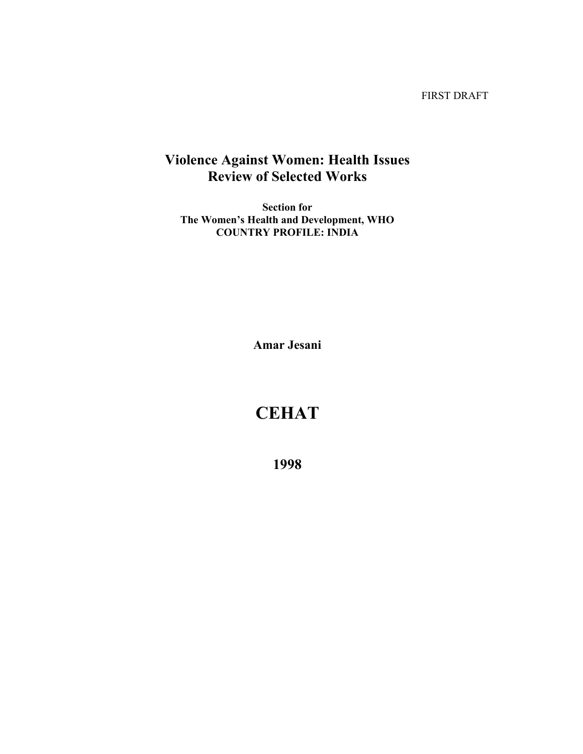FIRST DRAFT

## **Violence Against Women: Health Issues Review of Selected Works**

**Section for The Women's Health and Development, WHO COUNTRY PROFILE: INDIA** 

**Amar Jesani** 

# **CEHAT**

**1998**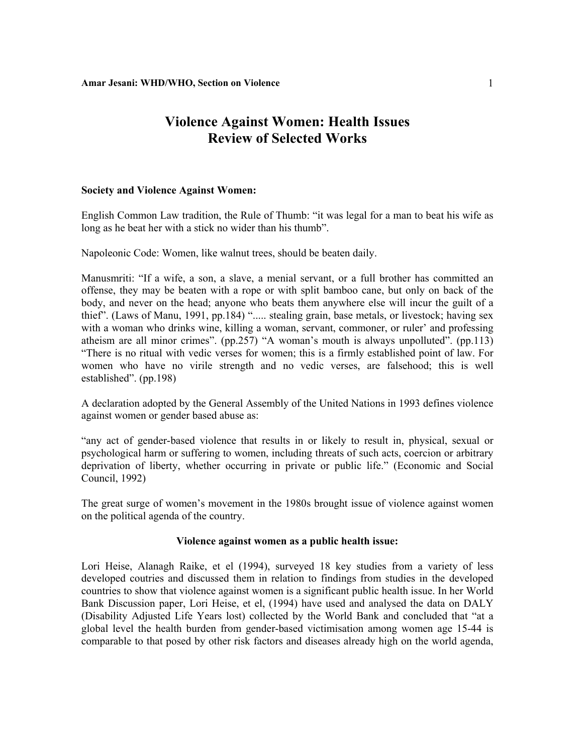## **Violence Against Women: Health Issues Review of Selected Works**

### **Society and Violence Against Women:**

English Common Law tradition, the Rule of Thumb: "it was legal for a man to beat his wife as long as he beat her with a stick no wider than his thumb".

Napoleonic Code: Women, like walnut trees, should be beaten daily.

Manusmriti: "If a wife, a son, a slave, a menial servant, or a full brother has committed an offense, they may be beaten with a rope or with split bamboo cane, but only on back of the body, and never on the head; anyone who beats them anywhere else will incur the guilt of a thief". (Laws of Manu, 1991, pp.184) "..... stealing grain, base metals, or livestock; having sex with a woman who drinks wine, killing a woman, servant, commoner, or ruler' and professing atheism are all minor crimes". (pp.257) "A woman's mouth is always unpolluted". (pp.113) "There is no ritual with vedic verses for women; this is a firmly established point of law. For women who have no virile strength and no vedic verses, are falsehood; this is well established". (pp.198)

A declaration adopted by the General Assembly of the United Nations in 1993 defines violence against women or gender based abuse as:

"any act of gender-based violence that results in or likely to result in, physical, sexual or psychological harm or suffering to women, including threats of such acts, coercion or arbitrary deprivation of liberty, whether occurring in private or public life." (Economic and Social Council, 1992)

The great surge of women's movement in the 1980s brought issue of violence against women on the political agenda of the country.

#### **Violence against women as a public health issue:**

Lori Heise, Alanagh Raike, et el (1994), surveyed 18 key studies from a variety of less developed coutries and discussed them in relation to findings from studies in the developed countries to show that violence against women is a significant public health issue. In her World Bank Discussion paper, Lori Heise, et el, (1994) have used and analysed the data on DALY (Disability Adjusted Life Years lost) collected by the World Bank and concluded that "at a global level the health burden from gender-based victimisation among women age 15-44 is comparable to that posed by other risk factors and diseases already high on the world agenda,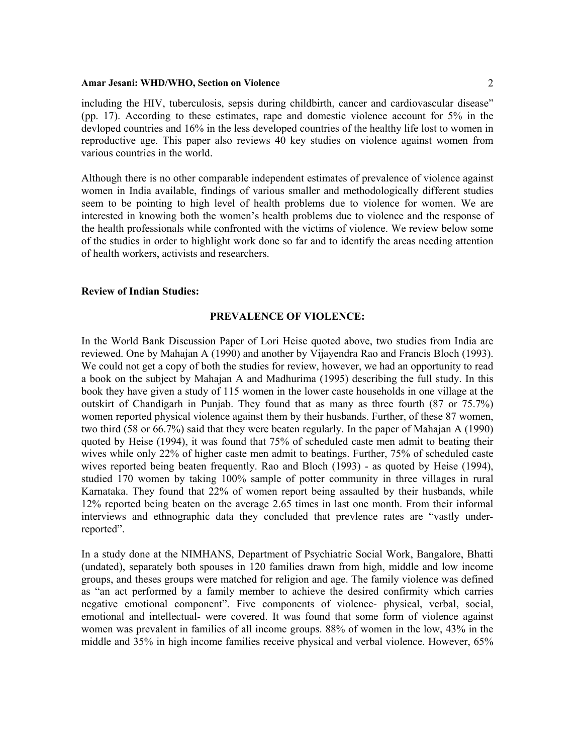including the HIV, tuberculosis, sepsis during childbirth, cancer and cardiovascular disease" (pp. 17). According to these estimates, rape and domestic violence account for 5% in the devloped countries and 16% in the less developed countries of the healthy life lost to women in reproductive age. This paper also reviews 40 key studies on violence against women from various countries in the world.

Although there is no other comparable independent estimates of prevalence of violence against women in India available, findings of various smaller and methodologically different studies seem to be pointing to high level of health problems due to violence for women. We are interested in knowing both the women's health problems due to violence and the response of the health professionals while confronted with the victims of violence. We review below some of the studies in order to highlight work done so far and to identify the areas needing attention of health workers, activists and researchers.

#### **Review of Indian Studies:**

### **PREVALENCE OF VIOLENCE:**

In the World Bank Discussion Paper of Lori Heise quoted above, two studies from India are reviewed. One by Mahajan A (1990) and another by Vijayendra Rao and Francis Bloch (1993). We could not get a copy of both the studies for review, however, we had an opportunity to read a book on the subject by Mahajan A and Madhurima (1995) describing the full study. In this book they have given a study of 115 women in the lower caste households in one village at the outskirt of Chandigarh in Punjab. They found that as many as three fourth (87 or 75.7%) women reported physical violence against them by their husbands. Further, of these 87 women, two third (58 or 66.7%) said that they were beaten regularly. In the paper of Mahajan A (1990) quoted by Heise (1994), it was found that 75% of scheduled caste men admit to beating their wives while only 22% of higher caste men admit to beatings. Further, 75% of scheduled caste wives reported being beaten frequently. Rao and Bloch (1993) - as quoted by Heise (1994), studied 170 women by taking 100% sample of potter community in three villages in rural Karnataka. They found that 22% of women report being assaulted by their husbands, while 12% reported being beaten on the average 2.65 times in last one month. From their informal interviews and ethnographic data they concluded that prevlence rates are "vastly underreported".

In a study done at the NIMHANS, Department of Psychiatric Social Work, Bangalore, Bhatti (undated), separately both spouses in 120 families drawn from high, middle and low income groups, and theses groups were matched for religion and age. The family violence was defined as "an act performed by a family member to achieve the desired confirmity which carries negative emotional component". Five components of violence- physical, verbal, social, emotional and intellectual- were covered. It was found that some form of violence against women was prevalent in families of all income groups. 88% of women in the low, 43% in the middle and 35% in high income families receive physical and verbal violence. However, 65%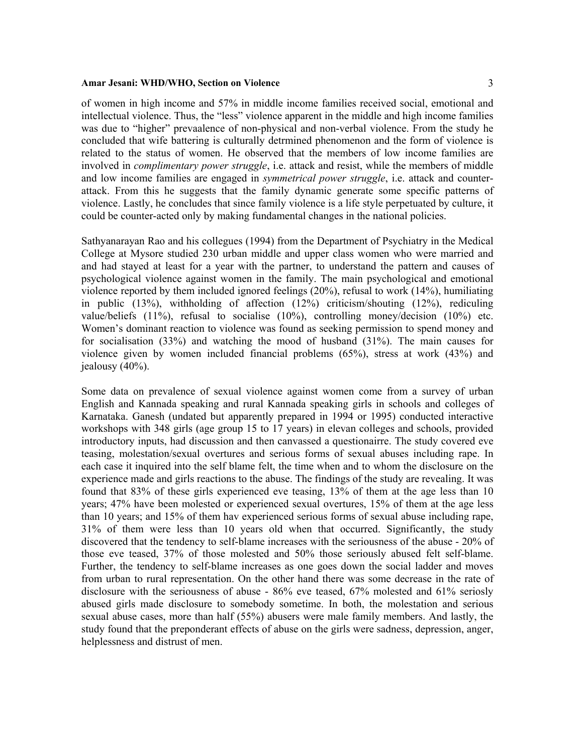of women in high income and 57% in middle income families received social, emotional and intellectual violence. Thus, the "less" violence apparent in the middle and high income families was due to "higher" prevaalence of non-physical and non-verbal violence. From the study he concluded that wife battering is culturally detrmined phenomenon and the form of violence is related to the status of women. He observed that the members of low income families are involved in *complimentary power struggle*, i.e. attack and resist, while the members of middle and low income families are engaged in *symmetrical power struggle*, i.e. attack and counterattack. From this he suggests that the family dynamic generate some specific patterns of violence. Lastly, he concludes that since family violence is a life style perpetuated by culture, it could be counter-acted only by making fundamental changes in the national policies.

Sathyanarayan Rao and his collegues (1994) from the Department of Psychiatry in the Medical College at Mysore studied 230 urban middle and upper class women who were married and and had stayed at least for a year with the partner, to understand the pattern and causes of psychological violence against women in the family. The main psychological and emotional violence reported by them included ignored feelings (20%), refusal to work (14%), humiliating in public (13%), withholding of affection (12%) criticism/shouting (12%), rediculing value/beliefs (11%), refusal to socialise (10%), controlling money/decision (10%) etc. Women's dominant reaction to violence was found as seeking permission to spend money and for socialisation (33%) and watching the mood of husband (31%). The main causes for violence given by women included financial problems (65%), stress at work (43%) and jealousy (40%).

Some data on prevalence of sexual violence against women come from a survey of urban English and Kannada speaking and rural Kannada speaking girls in schools and colleges of Karnataka. Ganesh (undated but apparently prepared in 1994 or 1995) conducted interactive workshops with 348 girls (age group 15 to 17 years) in elevan colleges and schools, provided introductory inputs, had discussion and then canvassed a questionairre. The study covered eve teasing, molestation/sexual overtures and serious forms of sexual abuses including rape. In each case it inquired into the self blame felt, the time when and to whom the disclosure on the experience made and girls reactions to the abuse. The findings of the study are revealing. It was found that 83% of these girls experienced eve teasing, 13% of them at the age less than 10 years; 47% have been molested or experienced sexual overtures, 15% of them at the age less than 10 years; and 15% of them hav experienced serious forms of sexual abuse including rape, 31% of them were less than 10 years old when that occurred. Significantly, the study discovered that the tendency to self-blame increases with the seriousness of the abuse - 20% of those eve teased, 37% of those molested and 50% those seriously abused felt self-blame. Further, the tendency to self-blame increases as one goes down the social ladder and moves from urban to rural representation. On the other hand there was some decrease in the rate of disclosure with the seriousness of abuse - 86% eve teased, 67% molested and 61% seriosly abused girls made disclosure to somebody sometime. In both, the molestation and serious sexual abuse cases, more than half (55%) abusers were male family members. And lastly, the study found that the preponderant effects of abuse on the girls were sadness, depression, anger, helplessness and distrust of men.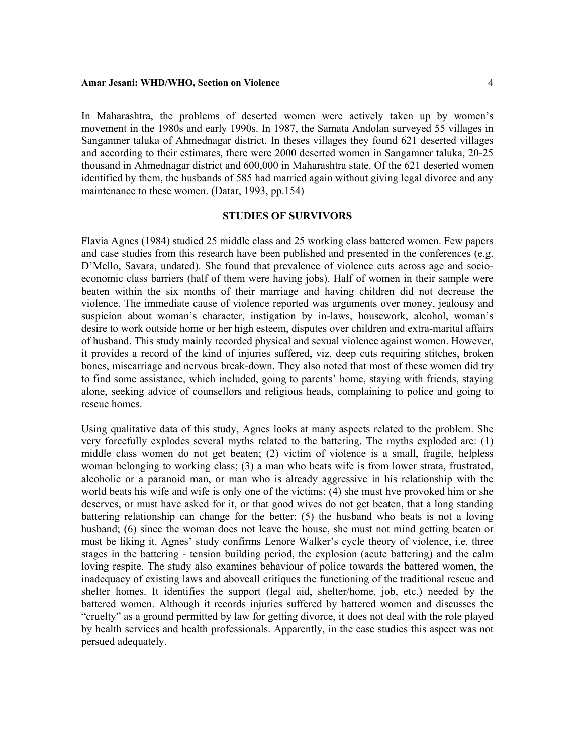In Maharashtra, the problems of deserted women were actively taken up by women's movement in the 1980s and early 1990s. In 1987, the Samata Andolan surveyed 55 villages in Sangamner taluka of Ahmednagar district. In theses villages they found 621 deserted villages and according to their estimates, there were 2000 deserted women in Sangamner taluka, 20-25 thousand in Ahmednagar district and 600,000 in Maharashtra state. Of the 621 deserted women identified by them, the husbands of 585 had married again without giving legal divorce and any maintenance to these women. (Datar, 1993, pp.154)

## **STUDIES OF SURVIVORS**

Flavia Agnes (1984) studied 25 middle class and 25 working class battered women. Few papers and case studies from this research have been published and presented in the conferences (e.g. D'Mello, Savara, undated). She found that prevalence of violence cuts across age and socioeconomic class barriers (half of them were having jobs). Half of women in their sample were beaten within the six months of their marriage and having children did not decrease the violence. The immediate cause of violence reported was arguments over money, jealousy and suspicion about woman's character, instigation by in-laws, housework, alcohol, woman's desire to work outside home or her high esteem, disputes over children and extra-marital affairs of husband. This study mainly recorded physical and sexual violence against women. However, it provides a record of the kind of injuries suffered, viz. deep cuts requiring stitches, broken bones, miscarriage and nervous break-down. They also noted that most of these women did try to find some assistance, which included, going to parents' home, staying with friends, staying alone, seeking advice of counsellors and religious heads, complaining to police and going to rescue homes.

Using qualitative data of this study, Agnes looks at many aspects related to the problem. She very forcefully explodes several myths related to the battering. The myths exploded are: (1) middle class women do not get beaten; (2) victim of violence is a small, fragile, helpless woman belonging to working class; (3) a man who beats wife is from lower strata, frustrated, alcoholic or a paranoid man, or man who is already aggressive in his relationship with the world beats his wife and wife is only one of the victims; (4) she must hve provoked him or she deserves, or must have asked for it, or that good wives do not get beaten, that a long standing battering relationship can change for the better; (5) the husband who beats is not a loving husband; (6) since the woman does not leave the house, she must not mind getting beaten or must be liking it. Agnes' study confirms Lenore Walker's cycle theory of violence, i.e. three stages in the battering - tension building period, the explosion (acute battering) and the calm loving respite. The study also examines behaviour of police towards the battered women, the inadequacy of existing laws and aboveall critiques the functioning of the traditional rescue and shelter homes. It identifies the support (legal aid, shelter/home, job, etc.) needed by the battered women. Although it records injuries suffered by battered women and discusses the "cruelty" as a ground permitted by law for getting divorce, it does not deal with the role played by health services and health professionals. Apparently, in the case studies this aspect was not persued adequately.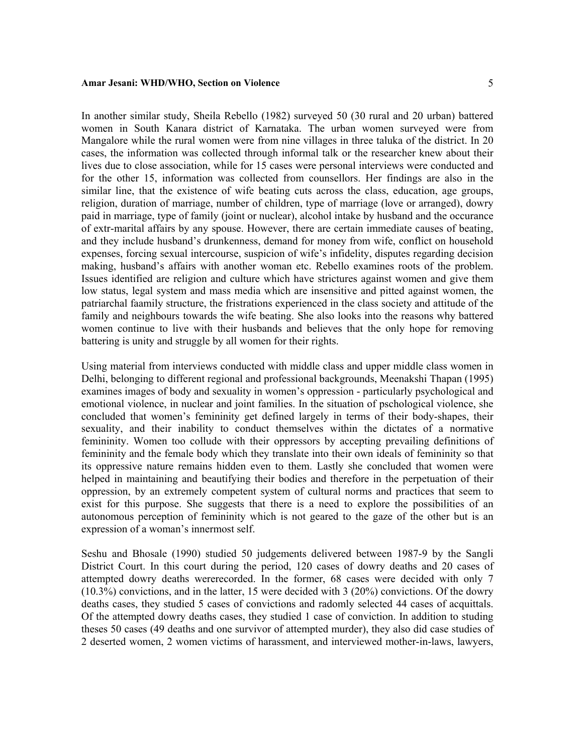In another similar study, Sheila Rebello (1982) surveyed 50 (30 rural and 20 urban) battered women in South Kanara district of Karnataka. The urban women surveyed were from Mangalore while the rural women were from nine villages in three taluka of the district. In 20 cases, the information was collected through informal talk or the researcher knew about their lives due to close association, while for 15 cases were personal interviews were conducted and for the other 15, information was collected from counsellors. Her findings are also in the similar line, that the existence of wife beating cuts across the class, education, age groups, religion, duration of marriage, number of children, type of marriage (love or arranged), dowry paid in marriage, type of family (joint or nuclear), alcohol intake by husband and the occurance of extr-marital affairs by any spouse. However, there are certain immediate causes of beating, and they include husband's drunkenness, demand for money from wife, conflict on household expenses, forcing sexual intercourse, suspicion of wife's infidelity, disputes regarding decision making, husband's affairs with another woman etc. Rebello examines roots of the problem. Issues identified are religion and culture which have strictures against women and give them low status, legal system and mass media which are insensitive and pitted against women, the patriarchal faamily structure, the fristrations experienced in the class society and attitude of the family and neighbours towards the wife beating. She also looks into the reasons why battered women continue to live with their husbands and believes that the only hope for removing battering is unity and struggle by all women for their rights.

Using material from interviews conducted with middle class and upper middle class women in Delhi, belonging to different regional and professional backgrounds, Meenakshi Thapan (1995) examines images of body and sexuality in women's oppression - particularly psychological and emotional violence, in nuclear and joint families. In the situation of pschological violence, she concluded that women's femininity get defined largely in terms of their body-shapes, their sexuality, and their inability to conduct themselves within the dictates of a normative femininity. Women too collude with their oppressors by accepting prevailing definitions of femininity and the female body which they translate into their own ideals of femininity so that its oppressive nature remains hidden even to them. Lastly she concluded that women were helped in maintaining and beautifying their bodies and therefore in the perpetuation of their oppression, by an extremely competent system of cultural norms and practices that seem to exist for this purpose. She suggests that there is a need to explore the possibilities of an autonomous perception of femininity which is not geared to the gaze of the other but is an expression of a woman's innermost self.

Seshu and Bhosale (1990) studied 50 judgements delivered between 1987-9 by the Sangli District Court. In this court during the period, 120 cases of dowry deaths and 20 cases of attempted dowry deaths wererecorded. In the former, 68 cases were decided with only 7 (10.3%) convictions, and in the latter, 15 were decided with 3 (20%) convictions. Of the dowry deaths cases, they studied 5 cases of convictions and radomly selected 44 cases of acquittals. Of the attempted dowry deaths cases, they studied 1 case of conviction. In addition to studing theses 50 cases (49 deaths and one survivor of attempted murder), they also did case studies of 2 deserted women, 2 women victims of harassment, and interviewed mother-in-laws, lawyers,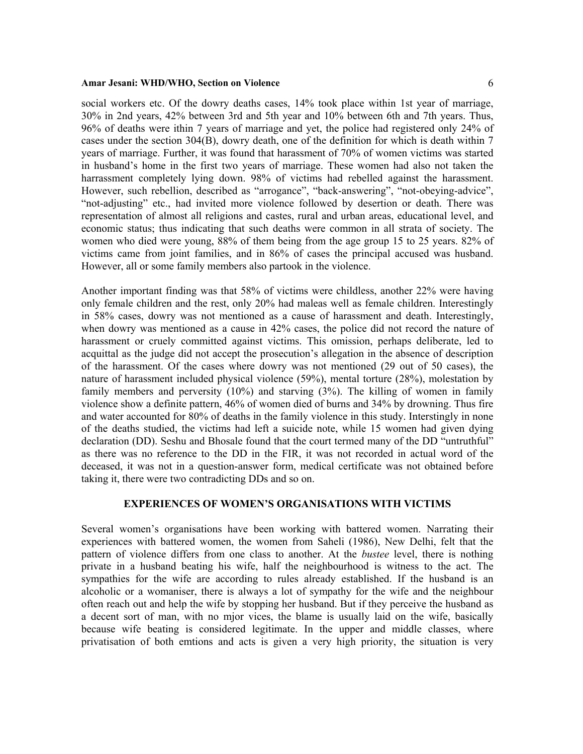social workers etc. Of the dowry deaths cases, 14% took place within 1st year of marriage, 30% in 2nd years, 42% between 3rd and 5th year and 10% between 6th and 7th years. Thus, 96% of deaths were ithin 7 years of marriage and yet, the police had registered only 24% of cases under the section 304(B), dowry death, one of the definition for which is death within 7 years of marriage. Further, it was found that harassment of 70% of women victims was started in husband's home in the first two years of marriage. These women had also not taken the harrassment completely lying down. 98% of victims had rebelled against the harassment. However, such rebellion, described as "arrogance", "back-answering", "not-obeying-advice", "not-adjusting" etc., had invited more violence followed by desertion or death. There was representation of almost all religions and castes, rural and urban areas, educational level, and economic status; thus indicating that such deaths were common in all strata of society. The women who died were young, 88% of them being from the age group 15 to 25 years. 82% of victims came from joint families, and in 86% of cases the principal accused was husband. However, all or some family members also partook in the violence.

Another important finding was that 58% of victims were childless, another 22% were having only female children and the rest, only 20% had maleas well as female children. Interestingly in 58% cases, dowry was not mentioned as a cause of harassment and death. Interestingly, when dowry was mentioned as a cause in 42% cases, the police did not record the nature of harassment or cruely committed against victims. This omission, perhaps deliberate, led to acquittal as the judge did not accept the prosecution's allegation in the absence of description of the harassment. Of the cases where dowry was not mentioned (29 out of 50 cases), the nature of harassment included physical violence (59%), mental torture (28%), molestation by family members and perversity (10%) and starving (3%). The killing of women in family violence show a definite pattern, 46% of women died of burns and 34% by drowning. Thus fire and water accounted for 80% of deaths in the family violence in this study. Interstingly in none of the deaths studied, the victims had left a suicide note, while 15 women had given dying declaration (DD). Seshu and Bhosale found that the court termed many of the DD "untruthful" as there was no reference to the DD in the FIR, it was not recorded in actual word of the deceased, it was not in a question-answer form, medical certificate was not obtained before taking it, there were two contradicting DDs and so on.

## **EXPERIENCES OF WOMEN'S ORGANISATIONS WITH VICTIMS**

Several women's organisations have been working with battered women. Narrating their experiences with battered women, the women from Saheli (1986), New Delhi, felt that the pattern of violence differs from one class to another. At the *bustee* level, there is nothing private in a husband beating his wife, half the neighbourhood is witness to the act. The sympathies for the wife are according to rules already established. If the husband is an alcoholic or a womaniser, there is always a lot of sympathy for the wife and the neighbour often reach out and help the wife by stopping her husband. But if they perceive the husband as a decent sort of man, with no mjor vices, the blame is usually laid on the wife, basically because wife beating is considered legitimate. In the upper and middle classes, where privatisation of both emtions and acts is given a very high priority, the situation is very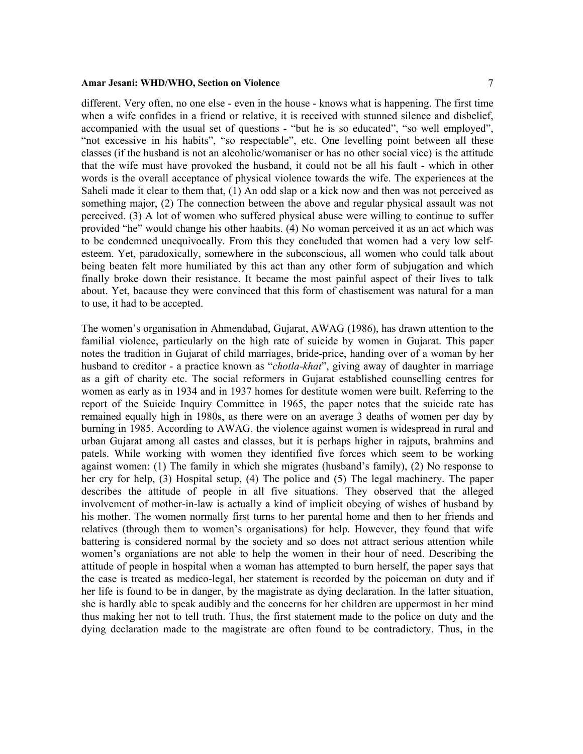different. Very often, no one else - even in the house - knows what is happening. The first time when a wife confides in a friend or relative, it is received with stunned silence and disbelief, accompanied with the usual set of questions - "but he is so educated", "so well employed", "not excessive in his habits", "so respectable", etc. One levelling point between all these classes (if the husband is not an alcoholic/womaniser or has no other social vice) is the attitude that the wife must have provoked the husband, it could not be all his fault - which in other words is the overall acceptance of physical violence towards the wife. The experiences at the Saheli made it clear to them that, (1) An odd slap or a kick now and then was not perceived as something major, (2) The connection between the above and regular physical assault was not perceived. (3) A lot of women who suffered physical abuse were willing to continue to suffer provided "he" would change his other haabits. (4) No woman perceived it as an act which was to be condemned unequivocally. From this they concluded that women had a very low selfesteem. Yet, paradoxically, somewhere in the subconscious, all women who could talk about being beaten felt more humiliated by this act than any other form of subjugation and which finally broke down their resistance. It became the most painful aspect of their lives to talk about. Yet, bacause they were convinced that this form of chastisement was natural for a man to use, it had to be accepted.

The women's organisation in Ahmendabad, Gujarat, AWAG (1986), has drawn attention to the familial violence, particularly on the high rate of suicide by women in Gujarat. This paper notes the tradition in Gujarat of child marriages, bride-price, handing over of a woman by her husband to creditor - a practice known as "*chotla-khat*", giving away of daughter in marriage as a gift of charity etc. The social reformers in Gujarat established counselling centres for women as early as in 1934 and in 1937 homes for destitute women were built. Referring to the report of the Suicide Inquiry Committee in 1965, the paper notes that the suicide rate has remained equally high in 1980s, as there were on an average 3 deaths of women per day by burning in 1985. According to AWAG, the violence against women is widespread in rural and urban Gujarat among all castes and classes, but it is perhaps higher in rajputs, brahmins and patels. While working with women they identified five forces which seem to be working against women: (1) The family in which she migrates (husband's family), (2) No response to her cry for help, (3) Hospital setup, (4) The police and (5) The legal machinery. The paper describes the attitude of people in all five situations. They observed that the alleged involvement of mother-in-law is actually a kind of implicit obeying of wishes of husband by his mother. The women normally first turns to her parental home and then to her friends and relatives (through them to women's organisations) for help. However, they found that wife battering is considered normal by the society and so does not attract serious attention while women's organiations are not able to help the women in their hour of need. Describing the attitude of people in hospital when a woman has attempted to burn herself, the paper says that the case is treated as medico-legal, her statement is recorded by the poiceman on duty and if her life is found to be in danger, by the magistrate as dying declaration. In the latter situation, she is hardly able to speak audibly and the concerns for her children are uppermost in her mind thus making her not to tell truth. Thus, the first statement made to the police on duty and the dying declaration made to the magistrate are often found to be contradictory. Thus, in the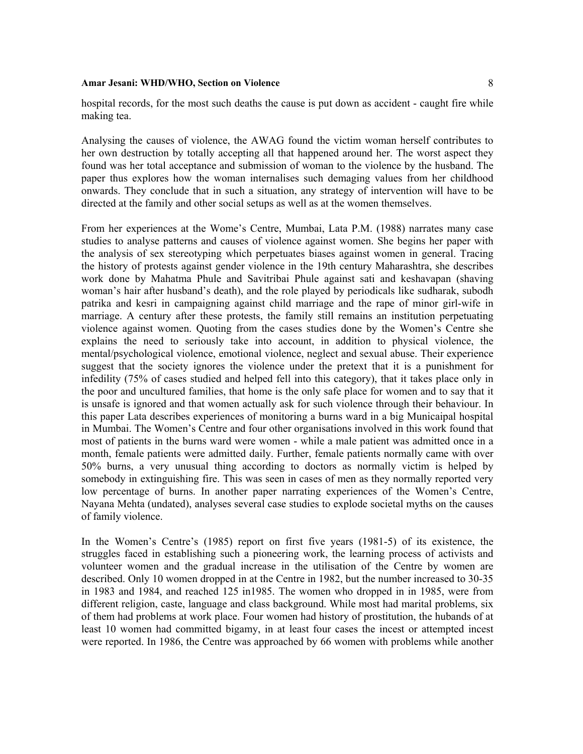Analysing the causes of violence, the AWAG found the victim woman herself contributes to her own destruction by totally accepting all that happened around her. The worst aspect they found was her total acceptance and submission of woman to the violence by the husband. The paper thus explores how the woman internalises such demaging values from her childhood onwards. They conclude that in such a situation, any strategy of intervention will have to be directed at the family and other social setups as well as at the women themselves.

From her experiences at the Wome's Centre, Mumbai, Lata P.M. (1988) narrates many case studies to analyse patterns and causes of violence against women. She begins her paper with the analysis of sex stereotyping which perpetuates biases against women in general. Tracing the history of protests against gender violence in the 19th century Maharashtra, she describes work done by Mahatma Phule and Savitribai Phule against sati and keshavapan (shaving woman's hair after husband's death), and the role played by periodicals like sudharak, subodh patrika and kesri in campaigning against child marriage and the rape of minor girl-wife in marriage. A century after these protests, the family still remains an institution perpetuating violence against women. Quoting from the cases studies done by the Women's Centre she explains the need to seriously take into account, in addition to physical violence, the mental/psychological violence, emotional violence, neglect and sexual abuse. Their experience suggest that the society ignores the violence under the pretext that it is a punishment for infedility (75% of cases studied and helped fell into this category), that it takes place only in the poor and uncultured families, that home is the only safe place for women and to say that it is unsafe is ignored and that women actually ask for such violence through their behaviour. In this paper Lata describes experiences of monitoring a burns ward in a big Municaipal hospital in Mumbai. The Women's Centre and four other organisations involved in this work found that most of patients in the burns ward were women - while a male patient was admitted once in a month, female patients were admitted daily. Further, female patients normally came with over 50% burns, a very unusual thing according to doctors as normally victim is helped by somebody in extinguishing fire. This was seen in cases of men as they normally reported very low percentage of burns. In another paper narrating experiences of the Women's Centre, Nayana Mehta (undated), analyses several case studies to explode societal myths on the causes of family violence.

In the Women's Centre's (1985) report on first five years (1981-5) of its existence, the struggles faced in establishing such a pioneering work, the learning process of activists and volunteer women and the gradual increase in the utilisation of the Centre by women are described. Only 10 women dropped in at the Centre in 1982, but the number increased to 30-35 in 1983 and 1984, and reached 125 in1985. The women who dropped in in 1985, were from different religion, caste, language and class background. While most had marital problems, six of them had problems at work place. Four women had history of prostitution, the hubands of at least 10 women had committed bigamy, in at least four cases the incest or attempted incest were reported. In 1986, the Centre was approached by 66 women with problems while another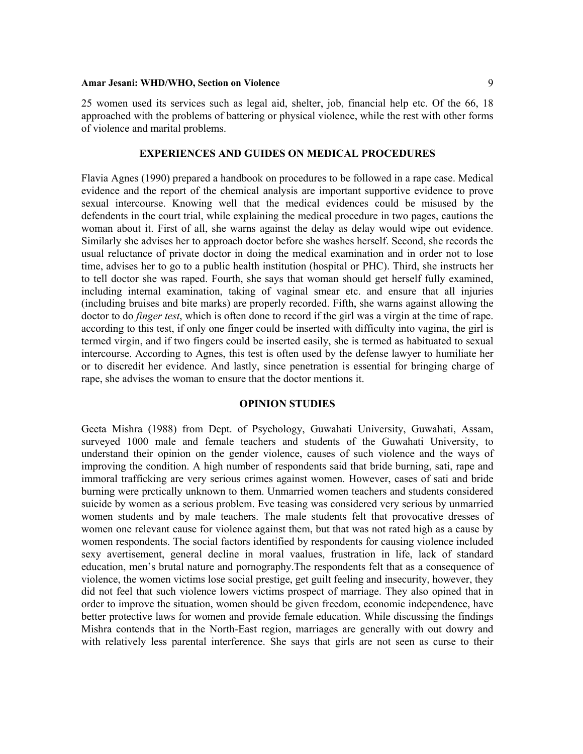25 women used its services such as legal aid, shelter, job, financial help etc. Of the 66, 18 approached with the problems of battering or physical violence, while the rest with other forms of violence and marital problems.

## **EXPERIENCES AND GUIDES ON MEDICAL PROCEDURES**

Flavia Agnes (1990) prepared a handbook on procedures to be followed in a rape case. Medical evidence and the report of the chemical analysis are important supportive evidence to prove sexual intercourse. Knowing well that the medical evidences could be misused by the defendents in the court trial, while explaining the medical procedure in two pages, cautions the woman about it. First of all, she warns against the delay as delay would wipe out evidence. Similarly she advises her to approach doctor before she washes herself. Second, she records the usual reluctance of private doctor in doing the medical examination and in order not to lose time, advises her to go to a public health institution (hospital or PHC). Third, she instructs her to tell doctor she was raped. Fourth, she says that woman should get herself fully examined, including internal examination, taking of vaginal smear etc. and ensure that all injuries (including bruises and bite marks) are properly recorded. Fifth, she warns against allowing the doctor to do *finger test*, which is often done to record if the girl was a virgin at the time of rape. according to this test, if only one finger could be inserted with difficulty into vagina, the girl is termed virgin, and if two fingers could be inserted easily, she is termed as habituated to sexual intercourse. According to Agnes, this test is often used by the defense lawyer to humiliate her or to discredit her evidence. And lastly, since penetration is essential for bringing charge of rape, she advises the woman to ensure that the doctor mentions it.

## **OPINION STUDIES**

Geeta Mishra (1988) from Dept. of Psychology, Guwahati University, Guwahati, Assam, surveyed 1000 male and female teachers and students of the Guwahati University, to understand their opinion on the gender violence, causes of such violence and the ways of improving the condition. A high number of respondents said that bride burning, sati, rape and immoral trafficking are very serious crimes against women. However, cases of sati and bride burning were prctically unknown to them. Unmarried women teachers and students considered suicide by women as a serious problem. Eve teasing was considered very serious by unmarried women students and by male teachers. The male students felt that provocative dresses of women one relevant cause for violence against them, but that was not rated high as a cause by women respondents. The social factors identified by respondents for causing violence included sexy avertisement, general decline in moral vaalues, frustration in life, lack of standard education, men's brutal nature and pornography.The respondents felt that as a consequence of violence, the women victims lose social prestige, get guilt feeling and insecurity, however, they did not feel that such violence lowers victims prospect of marriage. They also opined that in order to improve the situation, women should be given freedom, economic independence, have better protective laws for women and provide female education. While discussing the findings Mishra contends that in the North-East region, marriages are generally with out dowry and with relatively less parental interference. She says that girls are not seen as curse to their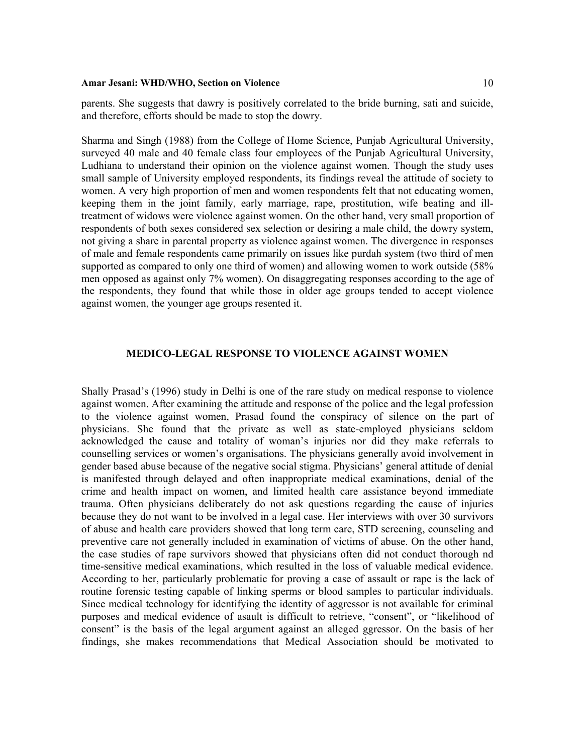parents. She suggests that dawry is positively correlated to the bride burning, sati and suicide, and therefore, efforts should be made to stop the dowry.

Sharma and Singh (1988) from the College of Home Science, Punjab Agricultural University, surveyed 40 male and 40 female class four employees of the Punjab Agricultural University, Ludhiana to understand their opinion on the violence against women. Though the study uses small sample of University employed respondents, its findings reveal the attitude of society to women. A very high proportion of men and women respondents felt that not educating women, keeping them in the joint family, early marriage, rape, prostitution, wife beating and illtreatment of widows were violence against women. On the other hand, very small proportion of respondents of both sexes considered sex selection or desiring a male child, the dowry system, not giving a share in parental property as violence against women. The divergence in responses of male and female respondents came primarily on issues like purdah system (two third of men supported as compared to only one third of women) and allowing women to work outside (58% men opposed as against only 7% women). On disaggregating responses according to the age of the respondents, they found that while those in older age groups tended to accept violence against women, the younger age groups resented it.

## **MEDICO-LEGAL RESPONSE TO VIOLENCE AGAINST WOMEN**

Shally Prasad's (1996) study in Delhi is one of the rare study on medical response to violence against women. After examining the attitude and response of the police and the legal profession to the violence against women, Prasad found the conspiracy of silence on the part of physicians. She found that the private as well as state-employed physicians seldom acknowledged the cause and totality of woman's injuries nor did they make referrals to counselling services or women's organisations. The physicians generally avoid involvement in gender based abuse because of the negative social stigma. Physicians' general attitude of denial is manifested through delayed and often inappropriate medical examinations, denial of the crime and health impact on women, and limited health care assistance beyond immediate trauma. Often physicians deliberately do not ask questions regarding the cause of injuries because they do not want to be involved in a legal case. Her interviews with over 30 survivors of abuse and health care providers showed that long term care, STD screening, counseling and preventive care not generally included in examination of victims of abuse. On the other hand, the case studies of rape survivors showed that physicians often did not conduct thorough nd time-sensitive medical examinations, which resulted in the loss of valuable medical evidence. According to her, particularly problematic for proving a case of assault or rape is the lack of routine forensic testing capable of linking sperms or blood samples to particular individuals. Since medical technology for identifying the identity of aggressor is not available for criminal purposes and medical evidence of asault is difficult to retrieve, "consent", or "likelihood of consent" is the basis of the legal argument against an alleged ggressor. On the basis of her findings, she makes recommendations that Medical Association should be motivated to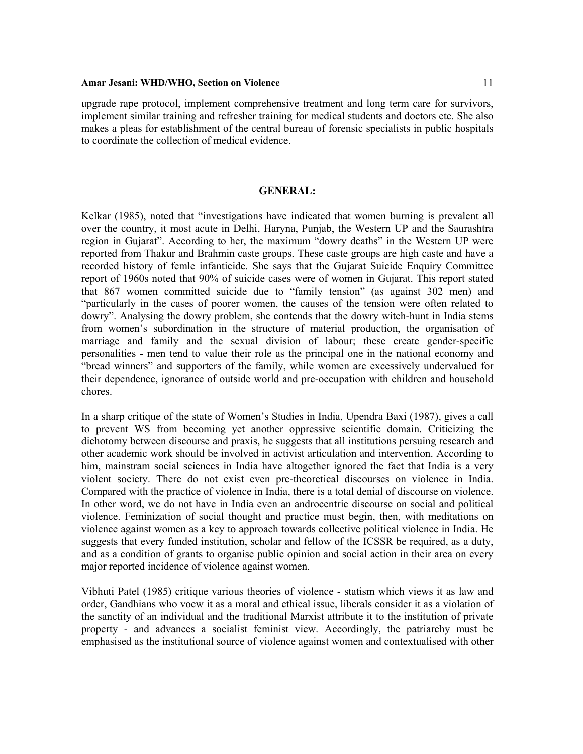upgrade rape protocol, implement comprehensive treatment and long term care for survivors, implement similar training and refresher training for medical students and doctors etc. She also makes a pleas for establishment of the central bureau of forensic specialists in public hospitals to coordinate the collection of medical evidence.

## **GENERAL:**

Kelkar (1985), noted that "investigations have indicated that women burning is prevalent all over the country, it most acute in Delhi, Haryna, Punjab, the Western UP and the Saurashtra region in Gujarat". According to her, the maximum "dowry deaths" in the Western UP were reported from Thakur and Brahmin caste groups. These caste groups are high caste and have a recorded history of femle infanticide. She says that the Gujarat Suicide Enquiry Committee report of 1960s noted that 90% of suicide cases were of women in Gujarat. This report stated that 867 women committed suicide due to "family tension" (as against 302 men) and "particularly in the cases of poorer women, the causes of the tension were often related to dowry". Analysing the dowry problem, she contends that the dowry witch-hunt in India stems from women's subordination in the structure of material production, the organisation of marriage and family and the sexual division of labour; these create gender-specific personalities - men tend to value their role as the principal one in the national economy and "bread winners" and supporters of the family, while women are excessively undervalued for their dependence, ignorance of outside world and pre-occupation with children and household chores.

In a sharp critique of the state of Women's Studies in India, Upendra Baxi (1987), gives a call to prevent WS from becoming yet another oppressive scientific domain. Criticizing the dichotomy between discourse and praxis, he suggests that all institutions persuing research and other academic work should be involved in activist articulation and intervention. According to him, mainstram social sciences in India have altogether ignored the fact that India is a very violent society. There do not exist even pre-theoretical discourses on violence in India. Compared with the practice of violence in India, there is a total denial of discourse on violence. In other word, we do not have in India even an androcentric discourse on social and political violence. Feminization of social thought and practice must begin, then, with meditations on violence against women as a key to approach towards collective political violence in India. He suggests that every funded institution, scholar and fellow of the ICSSR be required, as a duty, and as a condition of grants to organise public opinion and social action in their area on every major reported incidence of violence against women.

Vibhuti Patel (1985) critique various theories of violence - statism which views it as law and order, Gandhians who voew it as a moral and ethical issue, liberals consider it as a violation of the sanctity of an individual and the traditional Marxist attribute it to the institution of private property - and advances a socialist feminist view. Accordingly, the patriarchy must be emphasised as the institutional source of violence against women and contextualised with other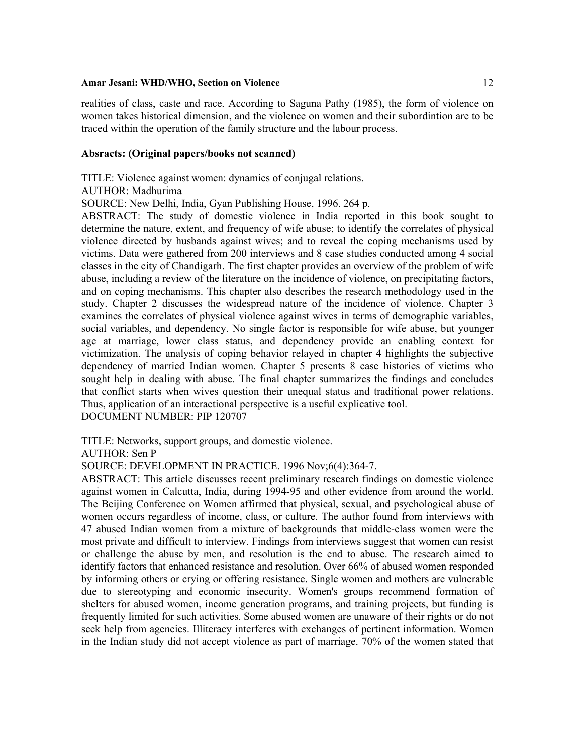realities of class, caste and race. According to Saguna Pathy (1985), the form of violence on women takes historical dimension, and the violence on women and their subordintion are to be traced within the operation of the family structure and the labour process.

## **Absracts: (Original papers/books not scanned)**

TITLE: Violence against women: dynamics of conjugal relations.

## AUTHOR: Madhurima

SOURCE: New Delhi, India, Gyan Publishing House, 1996. 264 p.

ABSTRACT: The study of domestic violence in India reported in this book sought to determine the nature, extent, and frequency of wife abuse; to identify the correlates of physical violence directed by husbands against wives; and to reveal the coping mechanisms used by victims. Data were gathered from 200 interviews and 8 case studies conducted among 4 social classes in the city of Chandigarh. The first chapter provides an overview of the problem of wife abuse, including a review of the literature on the incidence of violence, on precipitating factors, and on coping mechanisms. This chapter also describes the research methodology used in the study. Chapter 2 discusses the widespread nature of the incidence of violence. Chapter 3 examines the correlates of physical violence against wives in terms of demographic variables, social variables, and dependency. No single factor is responsible for wife abuse, but younger age at marriage, lower class status, and dependency provide an enabling context for victimization. The analysis of coping behavior relayed in chapter 4 highlights the subjective dependency of married Indian women. Chapter 5 presents 8 case histories of victims who sought help in dealing with abuse. The final chapter summarizes the findings and concludes that conflict starts when wives question their unequal status and traditional power relations. Thus, application of an interactional perspective is a useful explicative tool.

DOCUMENT NUMBER: PIP 120707

TITLE: Networks, support groups, and domestic violence.

AUTHOR: Sen P

SOURCE: DEVELOPMENT IN PRACTICE. 1996 Nov;6(4):364-7.

ABSTRACT: This article discusses recent preliminary research findings on domestic violence against women in Calcutta, India, during 1994-95 and other evidence from around the world. The Beijing Conference on Women affirmed that physical, sexual, and psychological abuse of women occurs regardless of income, class, or culture. The author found from interviews with 47 abused Indian women from a mixture of backgrounds that middle-class women were the most private and difficult to interview. Findings from interviews suggest that women can resist or challenge the abuse by men, and resolution is the end to abuse. The research aimed to identify factors that enhanced resistance and resolution. Over 66% of abused women responded by informing others or crying or offering resistance. Single women and mothers are vulnerable due to stereotyping and economic insecurity. Women's groups recommend formation of shelters for abused women, income generation programs, and training projects, but funding is frequently limited for such activities. Some abused women are unaware of their rights or do not seek help from agencies. Illiteracy interferes with exchanges of pertinent information. Women in the Indian study did not accept violence as part of marriage. 70% of the women stated that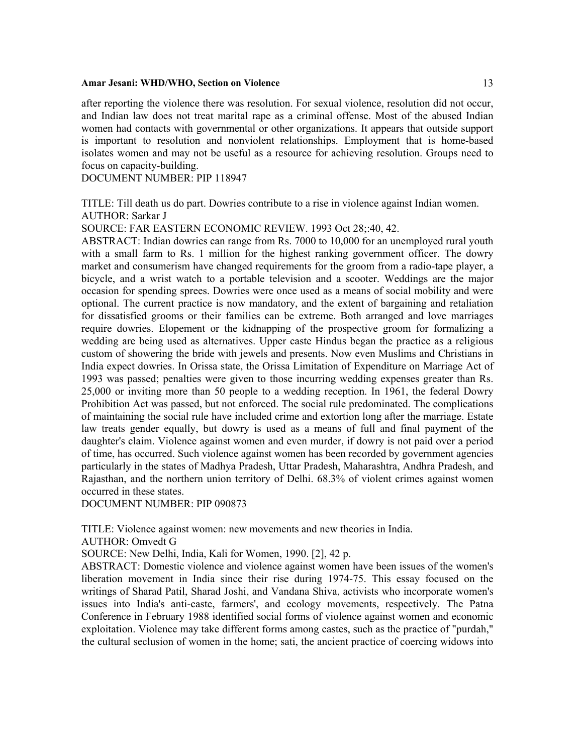after reporting the violence there was resolution. For sexual violence, resolution did not occur, and Indian law does not treat marital rape as a criminal offense. Most of the abused Indian women had contacts with governmental or other organizations. It appears that outside support is important to resolution and nonviolent relationships. Employment that is home-based isolates women and may not be useful as a resource for achieving resolution. Groups need to focus on capacity-building.

DOCUMENT NUMBER: PIP 118947

TITLE: Till death us do part. Dowries contribute to a rise in violence against Indian women. AUTHOR: Sarkar J

SOURCE: FAR EASTERN ECONOMIC REVIEW. 1993 Oct 28;:40, 42.

ABSTRACT: Indian dowries can range from Rs. 7000 to 10,000 for an unemployed rural youth with a small farm to Rs. 1 million for the highest ranking government officer. The dowry market and consumerism have changed requirements for the groom from a radio-tape player, a bicycle, and a wrist watch to a portable television and a scooter. Weddings are the major occasion for spending sprees. Dowries were once used as a means of social mobility and were optional. The current practice is now mandatory, and the extent of bargaining and retaliation for dissatisfied grooms or their families can be extreme. Both arranged and love marriages require dowries. Elopement or the kidnapping of the prospective groom for formalizing a wedding are being used as alternatives. Upper caste Hindus began the practice as a religious custom of showering the bride with jewels and presents. Now even Muslims and Christians in India expect dowries. In Orissa state, the Orissa Limitation of Expenditure on Marriage Act of 1993 was passed; penalties were given to those incurring wedding expenses greater than Rs. 25,000 or inviting more than 50 people to a wedding reception. In 1961, the federal Dowry Prohibition Act was passed, but not enforced. The social rule predominated. The complications of maintaining the social rule have included crime and extortion long after the marriage. Estate law treats gender equally, but dowry is used as a means of full and final payment of the daughter's claim. Violence against women and even murder, if dowry is not paid over a period of time, has occurred. Such violence against women has been recorded by government agencies particularly in the states of Madhya Pradesh, Uttar Pradesh, Maharashtra, Andhra Pradesh, and Rajasthan, and the northern union territory of Delhi. 68.3% of violent crimes against women occurred in these states.

DOCUMENT NUMBER: PIP 090873

TITLE: Violence against women: new movements and new theories in India.

AUTHOR: Omvedt G

SOURCE: New Delhi, India, Kali for Women, 1990. [2], 42 p.

ABSTRACT: Domestic violence and violence against women have been issues of the women's liberation movement in India since their rise during 1974-75. This essay focused on the writings of Sharad Patil, Sharad Joshi, and Vandana Shiva, activists who incorporate women's issues into India's anti-caste, farmers', and ecology movements, respectively. The Patna Conference in February 1988 identified social forms of violence against women and economic exploitation. Violence may take different forms among castes, such as the practice of "purdah," the cultural seclusion of women in the home; sati, the ancient practice of coercing widows into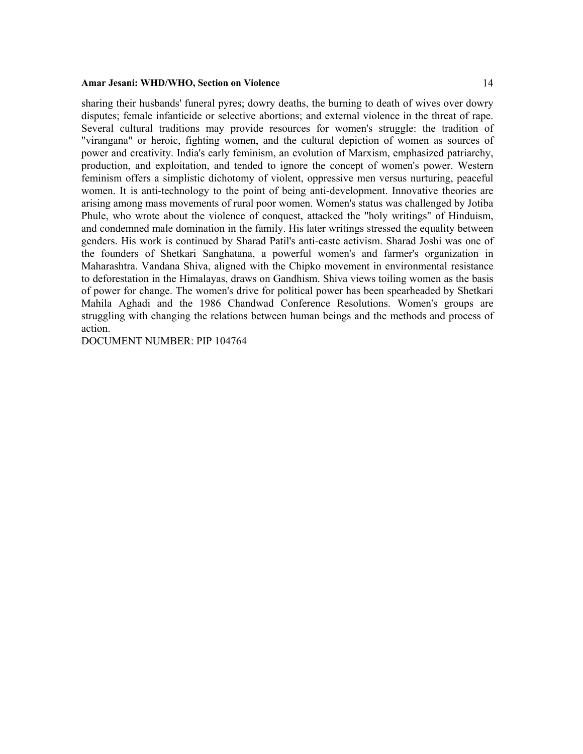sharing their husbands' funeral pyres; dowry deaths, the burning to death of wives over dowry disputes; female infanticide or selective abortions; and external violence in the threat of rape. Several cultural traditions may provide resources for women's struggle: the tradition of "virangana" or heroic, fighting women, and the cultural depiction of women as sources of power and creativity. India's early feminism, an evolution of Marxism, emphasized patriarchy, production, and exploitation, and tended to ignore the concept of women's power. Western feminism offers a simplistic dichotomy of violent, oppressive men versus nurturing, peaceful women. It is anti-technology to the point of being anti-development. Innovative theories are arising among mass movements of rural poor women. Women's status was challenged by Jotiba Phule, who wrote about the violence of conquest, attacked the "holy writings" of Hinduism, and condemned male domination in the family. His later writings stressed the equality between genders. His work is continued by Sharad Patil's anti-caste activism. Sharad Joshi was one of the founders of Shetkari Sanghatana, a powerful women's and farmer's organization in Maharashtra. Vandana Shiva, aligned with the Chipko movement in environmental resistance to deforestation in the Himalayas, draws on Gandhism. Shiva views toiling women as the basis of power for change. The women's drive for political power has been spearheaded by Shetkari Mahila Aghadi and the 1986 Chandwad Conference Resolutions. Women's groups are struggling with changing the relations between human beings and the methods and process of action.

DOCUMENT NUMBER: PIP 104764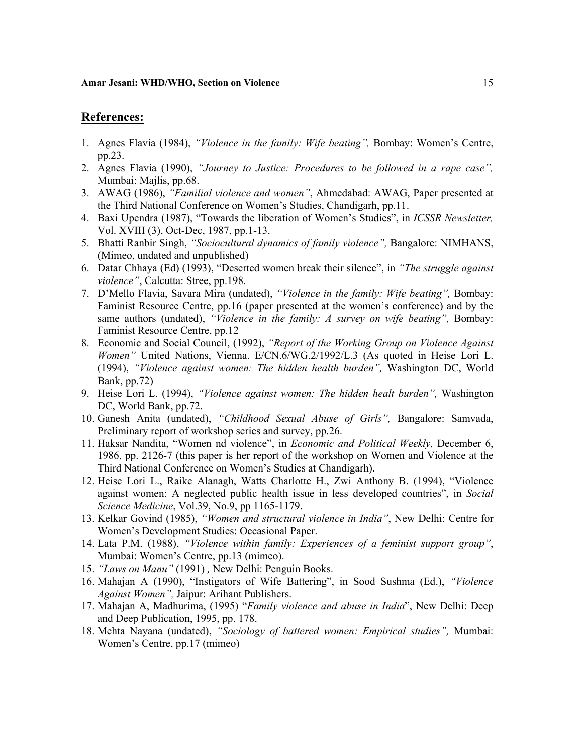## **References:**

- 1. Agnes Flavia (1984), *"Violence in the family: Wife beating",* Bombay: Women's Centre, pp.23.
- 2. Agnes Flavia (1990), *"Journey to Justice: Procedures to be followed in a rape case",* Mumbai: Majlis, pp.68.
- 3. AWAG (1986), *"Familial violence and women"*, Ahmedabad: AWAG, Paper presented at the Third National Conference on Women's Studies, Chandigarh, pp.11.
- 4. Baxi Upendra (1987), "Towards the liberation of Women's Studies", in *ICSSR Newsletter,* Vol. XVIII (3), Oct-Dec, 1987, pp.1-13.
- 5. Bhatti Ranbir Singh, *"Sociocultural dynamics of family violence",* Bangalore: NIMHANS, (Mimeo, undated and unpublished)
- 6. Datar Chhaya (Ed) (1993), "Deserted women break their silence", in *"The struggle against violence"*, Calcutta: Stree, pp.198.
- 7. D'Mello Flavia, Savara Mira (undated), *"Violence in the family: Wife beating",* Bombay: Faminist Resource Centre, pp.16 (paper presented at the women's conference) and by the same authors (undated), *"Violence in the family: A survey on wife beating",* Bombay: Faminist Resource Centre, pp.12
- 8. Economic and Social Council, (1992), *"Report of the Working Group on Violence Against Women"* United Nations, Vienna. E/CN.6/WG.2/1992/L.3 (As quoted in Heise Lori L. (1994), *"Violence against women: The hidden health burden",* Washington DC, World Bank, pp.72)
- 9. Heise Lori L. (1994), *"Violence against women: The hidden healt burden",* Washington DC, World Bank, pp.72.
- 10. Ganesh Anita (undated), *"Childhood Sexual Abuse of Girls",* Bangalore: Samvada, Preliminary report of workshop series and survey, pp.26.
- 11. Haksar Nandita, "Women nd violence", in *Economic and Political Weekly,* December 6, 1986, pp. 2126-7 (this paper is her report of the workshop on Women and Violence at the Third National Conference on Women's Studies at Chandigarh).
- 12. Heise Lori L., Raike Alanagh, Watts Charlotte H., Zwi Anthony B. (1994), "Violence against women: A neglected public health issue in less developed countries", in *Social Science Medicine*, Vol.39, No.9, pp 1165-1179.
- 13. Kelkar Govind (1985), *"Women and structural violence in India"*, New Delhi: Centre for Women's Development Studies: Occasional Paper.
- 14. Lata P.M. (1988), *"Violence within family: Experiences of a feminist support group"*, Mumbai: Women's Centre, pp.13 (mimeo).
- 15. *"Laws on Manu"* (1991) *,* New Delhi: Penguin Books.
- 16. Mahajan A (1990), "Instigators of Wife Battering", in Sood Sushma (Ed.), *"Violence Against Women",* Jaipur: Arihant Publishers.
- 17. Mahajan A, Madhurima, (1995) "*Family violence and abuse in India*", New Delhi: Deep and Deep Publication, 1995, pp. 178.
- 18. Mehta Nayana (undated), *"Sociology of battered women: Empirical studies",* Mumbai: Women's Centre, pp.17 (mimeo)